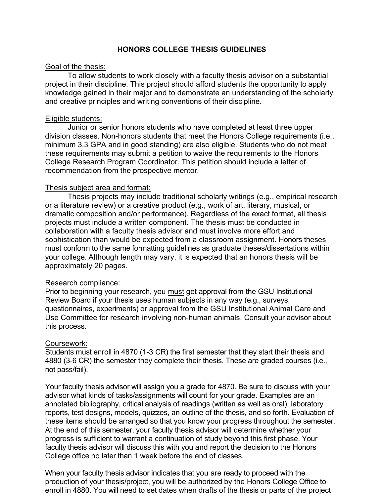# **HONORS COLLEGE THESIS GUIDELINES**

## Goal of the thesis:

To allow students to work closely with a faculty thesis advisor on a substantial project in their discipline. This project should afford students the opportunity to apply knowledge gained in their major and to demonstrate an understanding of the scholarly and creative principles and writing conventions of their discipline.

## Eligible students:

Junior or senior honors students who have completed at least three upper division classes. Non-honors students that meet the Honors College requirements (i.e., minimum 3.3 GPA and in good standing) are also eligible. Students who do not meet these requirements may submit a petition to waive the requirements to the Honors College Research Program Coordinator. This petition should include a letter of recommendation from the prospective mentor.

## Thesis subject area and format:

Thesis projects may include traditional scholarly writings (e.g., empirical research or a literature review) or a creative product (e.g., work of art, literary, musical, or dramatic composition and/or performance). Regardless of the exact format, all thesis projects must include a written component. The thesis must be conducted in collaboration with a faculty thesis advisor and must involve more effort and sophistication than would be expected from a classroom assignment. Honors theses must conform to the same formatting guidelines as graduate theses/dissertations within your college. Although length may vary, it is expected that an honors thesis will be approximately 20 pages.

### Research compliance:

Prior to beginning your research, you must get approval from the GSU Institutional Review Board if your thesis uses human subjects in any way (e.g., surveys, questionnaires, experiments) or approval from the GSU Institutional Animal Care and Use Committee for research involving non-human animals. Consult your advisor about this process.

# Coursework:

Students must enroll in 4870 (1-3 CR) the first semester that they start their thesis and 4880 (3-6 CR) the semester they complete their thesis. These are graded courses (i.e., not pass/fail).

Your faculty thesis advisor will assign you a grade for 4870. Be sure to discuss with your advisor what kinds of tasks/assignments will count for your grade. Examples are an annotated bibliography, critical analysis of readings (written as well as oral), laboratory reports, test designs, models, quizzes, an outline of the thesis, and so forth. Evaluation of these items should be arranged so that you know your progress throughout the semester. At the end of this semester, your faculty thesis advisor will determine whether your progress is sufficient to warrant a continuation of study beyond this first phase. Your faculty thesis advisor will discuss this with you and report the decision to the Honors College office no later than 1 week before the end of classes.

When your faculty thesis advisor indicates that you are ready to proceed with the production of your thesis/project, you will be authorized by the Honors College Office to enroll in 4880. You will need to set dates when drafts of the thesis or parts of the project